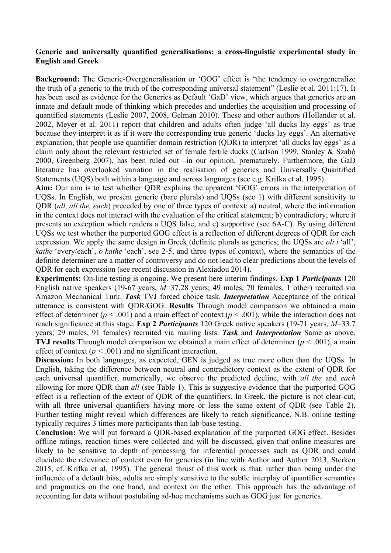## **Generic and universally quantified generalisations: a cross-linguistic experimental study in English and Greek**

**Background:** The Generic-Overgeneralisation or 'GOG' effect is "the tendency to overgeneralize the truth of a generic to the truth of the corresponding universal statement" (Leslie et al. 2011:17). It has been used as evidence for the Generics as Default 'GaD' view, which argues that generics are an innate and default mode of thinking which precedes and underlies the acquisition and processing of quantified statements (Leslie 2007, 2008, Gelman 2010). These and other authors (Hollander et al. 2002, Meyer et al. 2011) report that children and adults often judge 'all ducks lay eggs' as true because they interpret it as if it were the corresponding true generic 'ducks lay eggs'. An alternative explanation, that people use quantifier domain restriction (QDR) to interpret 'all ducks lay eggs' as a claim only about the relevant restricted set of female fertile ducks (Carlson 1999, Stanley & Szabò 2000, Greenberg 2007), has been ruled out –in our opinion, prematurely. Furthermore, the GaD literature has overlooked variation in the realisation of generics and Universally Quantified Statements (UQS) both within a language and across languages (see e.g. Krifka et al. 1995).

**Aim:** Our aim is to test whether QDR explains the apparent 'GOG' errors in the interpretation of UQSs. In English, we present generic (bare plurals) and UQSs (see 1) with different sensitivity to QDR (*all, all the, each*) preceded by one of three types of context: a) neutral, where the information in the context does not interact with the evaluation of the critical statement; b) contradictory, where it presents an exception which renders a UQS false, and c) supportive (see 6A-C). By using different UQSs we test whether the purported GOG effect is a reflection of different degrees of QDR for each expression. We apply the same design in Greek (definite plurals as generics; the UQSs are *oli i* 'all', *kathe* 'every/each', *o kathe* 'each', see 2-5, and three types of context), where the semantics of the definite determiner are a matter of controversy and do not lead to clear predictions about the levels of QDR for each expression (see recent discussion in Alexiadou 2014).

**Experiments:** On-line testing is ongoing. We present here interim findings. **Exp 1** *Participants* 120 English native speakers (19-67 years, *M*=37.28 years; 49 males, 70 females, 1 other) recruited via Amazon Mechanical Turk. *Task* TVJ forced choice task. *Interpretation* Acceptance of the critical utterance is consistent with QDR/GOG. **Results** Through model comparison we obtained a main effect of determiner ( $p < .001$ ) and a main effect of context ( $p < .001$ ), while the interaction does not reach significance at this stage. **Exp 2** *Participants* 120 Greek native speakers (19-71 years, *M*=33.7 years; 29 males, 91 females) recruited via mailing lists. *Task* and *Interpretation* Same as above. **TVJ results** Through model comparison we obtained a main effect of determiner (*p <* .001), a main effect of context ( $p < .001$ ) and no significant interaction.

**Discussion:** In both languages, as expected, GEN is judged as true more often than the UQSs. In English, taking the difference between neutral and contradictory context as the extent of QDR for each universal quantifier, numerically, we observe the predicted decline, with *all the* and *each* allowing for more QDR than *all* (see Table 1). This is suggestive evidence that the purported GOG effect is a reflection of the extent of QDR of the quantifiers. In Greek, the picture is not clear-cut, with all three universal quantifiers having more or less the same extent of QDR (see Table 2). Further testing might reveal which differences are likely to reach significance. N.B. online testing typically requires 3 times more participants than lab-base testing.

**Conclusion:** We will put forward a QDR-based explanation of the purported GOG effect. Besides offline ratings, reaction times were collected and will be discussed, given that online measures are likely to be sensitive to depth of processing for inferential processes such as QDR and could elucidate the relevance of context even for generics (in line with Author and Author 2013, Sterken 2015, cf. Krifka et al. 1995). The general thrust of this work is that, rather than being under the influence of a default bias, adults are simply sensitive to the subtle interplay of quantifier semantics and pragmatics on the one hand, and context on the other. This approach has the advantage of accounting for data without postulating ad-hoc mechanisms such as GOG just for generics.